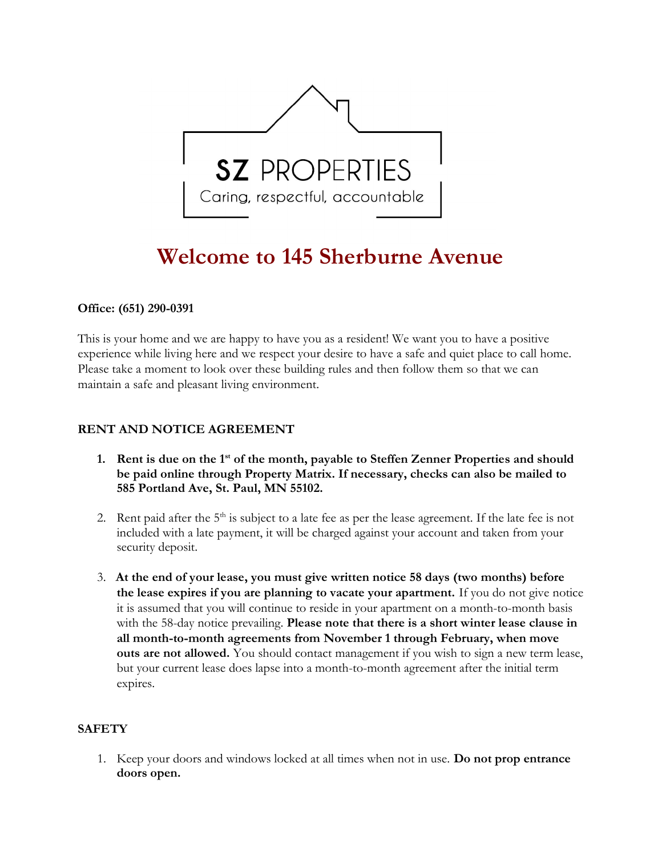

# Welcome to 145 Sherburne Avenue

### Office: **(**651**)** 290-0391

This is your home and we are happy to have you as a resident! We want you to have a positive experience while living here and we respect your desire to have a safe and quiet place to call home. Please take a moment to look over these building rules and then follow them so that we can maintain a safe and pleasant living environment.

## RENT AND NOTICE AGREEMENT

- 1. Rent is due on the  $1<sup>st</sup>$  of the month, payable to Steffen Zenner Properties and should be paid online through Property Matrix. If necessary, checks can also be mailed to 585 Portland Ave, St. Paul, MN 55102.
- 2. Rent paid after the  $5<sup>th</sup>$  is subject to a late fee as per the lease agreement. If the late fee is not included with a late payment, it will be charged against your account and taken from your security deposit.
- 3. At the end of your lease, you must give written notice 58 days (two months) before the lease expires if you are planning to vacate your apartment. If you do not give notice it is assumed that you will continue to reside in your apartment on a month-to-month basis with the 58-day notice prevailing. **Please note that there is a short winter lease clause in** all month-to-month agreements from November 1 through February, when move outs are not allowed. You should contact management if you wish to sign a new term lease, but your current lease does lapse into a month-to-month agreement after the initial term expires.

### **SAFETY**

1. Keep your doors and windows locked at all times when not in use. Do not prop entrance doors open.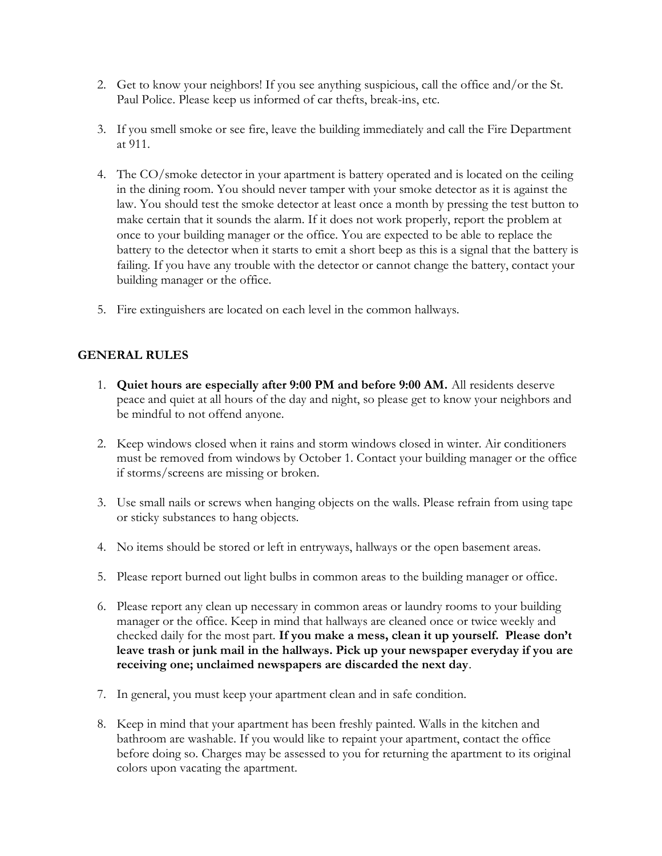- 2. Get to know your neighbors! If you see anything suspicious, call the office and/or the St. Paul Police. Please keep us informed of car thefts, break-ins, etc.
- 3. If you smell smoke or see fire, leave the building immediately and call the Fire Department at 911.
- 4. The CO/smoke detector in your apartment is battery operated and is located on the ceiling in the dining room. You should never tamper with your smoke detector as it is against the law. You should test the smoke detector at least once a month by pressing the test button to make certain that it sounds the alarm. If it does not work properly, report the problem at once to your building manager or the office. You are expected to be able to replace the battery to the detector when it starts to emit a short beep as this is a signal that the battery is failing. If you have any trouble with the detector or cannot change the battery, contact your building manager or the office.
- 5. Fire extinguishers are located on each level in the common hallways.

## GENERAL RULES

- 1. Quiet hours are especially after 9:00 PM and before 9:00 AM. All residents deserve peace and quiet at all hours of the day and night, so please get to know your neighbors and be mindful to not offend anyone.
- 2. Keep windows closed when it rains and storm windows closed in winter. Air conditioners must be removed from windows by October 1. Contact your building manager or the office if storms/screens are missing or broken.
- 3. Use small nails or screws when hanging objects on the walls. Please refrain from using tape or sticky substances to hang objects.
- 4. No items should be stored or left in entryways, hallways or the open basement areas.
- 5. Please report burned out light bulbs in common areas to the building manager or office.
- 6. Please report any clean up necessary in common areas or laundry rooms to your building manager or the office. Keep in mind that hallways are cleaned once or twice weekly and checked daily for the most part. If you make a mess, clean it up yourself. Please don't leave trash or junk mail in the hallways. Pick up your newspaper everyday if you are receiving one; unclaimed newspapers are discarded the next day.
- 7. In general, you must keep your apartment clean and in safe condition.
- 8. Keep in mind that your apartment has been freshly painted. Walls in the kitchen and bathroom are washable. If you would like to repaint your apartment, contact the office before doing so. Charges may be assessed to you for returning the apartment to its original colors upon vacating the apartment.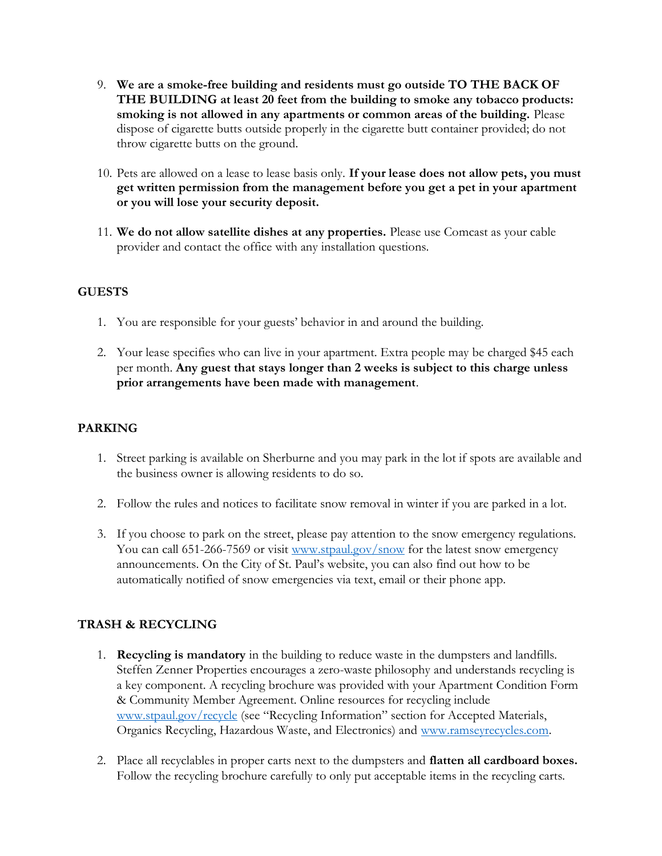- 9. We are a smoke-free building and residents must go outside TO THE BACK OF THE BUILDING at least 20 feet from the building to smoke any tobacco products: smoking is not allowed in any apartments or common areas of the building. Please dispose of cigarette butts outside properly in the cigarette butt container provided; do not throw cigarette butts on the ground.
- 10. Pets are allowed on a lease to lease basis only. If your lease does not allow pets, you must get written permission from the management before you get a pet in your apartment or you will lose your security deposit.
- 11. We do not allow satellite dishes at any properties. Please use Comcast as your cable provider and contact the office with any installation questions.

# **GUESTS**

- 1. You are responsible for your guests' behavior in and around the building.
- 2. Your lease specifies who can live in your apartment. Extra people may be charged \$45 each per month. Any guest that stays longer than 2 weeks is subject to this charge unless prior arrangements have been made with management.

## PARKING

- 1. Street parking is available on Sherburne and you may park in the lot if spots are available and the business owner is allowing residents to do so.
- 2. Follow the rules and notices to facilitate snow removal in winter if you are parked in a lot.
- 3. If you choose to park on the street, please pay attention to the snow emergency regulations. You can call 651-266-7569 or visit www.stpaul.gov/snow for the latest snow emergency announcements. On the City of St. Paul's website, you can also find out how to be automatically notified of snow emergencies via text, email or their phone app.

# TRASH & RECYCLING

- 1. Recycling is mandatory in the building to reduce waste in the dumpsters and landfills. Steffen Zenner Properties encourages a zero-waste philosophy and understands recycling is a key component. A recycling brochure was provided with your Apartment Condition Form & Community Member Agreement. Online resources for recycling include www.stpaul.gov/recycle (see "Recycling Information" section for Accepted Materials, Organics Recycling, Hazardous Waste, and Electronics) and www.ramseyrecycles.com.
- 2. Place all recyclables in proper carts next to the dumpsters and flatten all cardboard boxes. Follow the recycling brochure carefully to only put acceptable items in the recycling carts.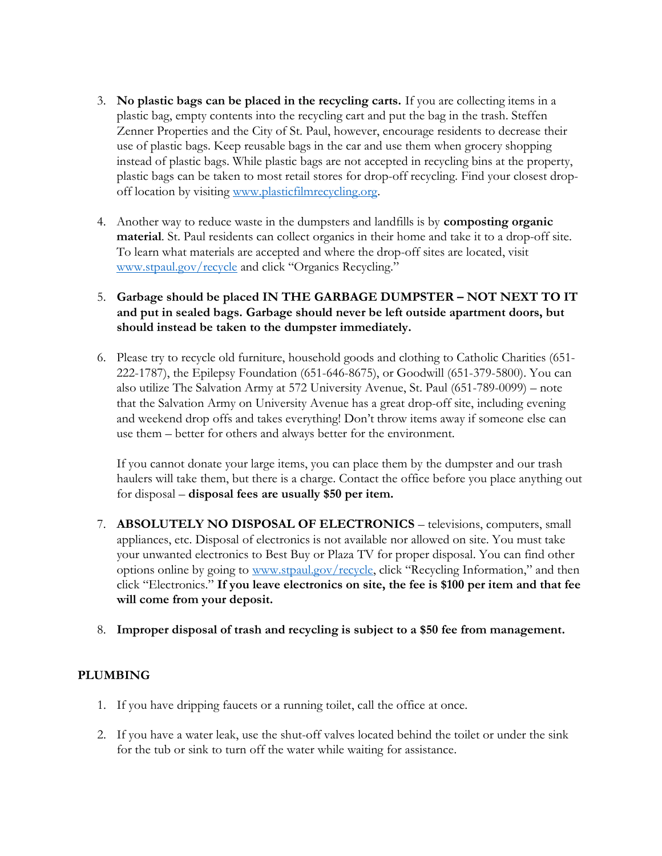- 3. No plastic bags can be placed in the recycling carts. If you are collecting items in a plastic bag, empty contents into the recycling cart and put the bag in the trash. Steffen Zenner Properties and the City of St. Paul, however, encourage residents to decrease their use of plastic bags. Keep reusable bags in the car and use them when grocery shopping instead of plastic bags. While plastic bags are not accepted in recycling bins at the property, plastic bags can be taken to most retail stores for drop-off recycling. Find your closest dropoff location by visiting www.plasticfilmrecycling.org.
- 4. Another way to reduce waste in the dumpsters and landfills is by **composting organic** material. St. Paul residents can collect organics in their home and take it to a drop-off site. To learn what materials are accepted and where the drop-off sites are located, visit www.stpaul.gov/recycle and click "Organics Recycling."
- 5. Garbage should be placed IN THE GARBAGE DUMPSTER NOT NEXT TO IT and put in sealed bags. Garbage should never be left outside apartment doors, but should instead be taken to the dumpster immediately.
- 6. Please try to recycle old furniture, household goods and clothing to Catholic Charities (651- 222-1787), the Epilepsy Foundation (651-646-8675), or Goodwill (651-379-5800). You can also utilize The Salvation Army at 572 University Avenue, St. Paul (651-789-0099) – note that the Salvation Army on University Avenue has a great drop-off site, including evening and weekend drop offs and takes everything! Don't throw items away if someone else can use them – better for others and always better for the environment.

If you cannot donate your large items, you can place them by the dumpster and our trash haulers will take them, but there is a charge. Contact the office before you place anything out for disposal – disposal fees are usually \$50 per item.

- 7. ABSOLUTELY NO DISPOSAL OF ELECTRONICS televisions, computers, small appliances, etc. Disposal of electronics is not available nor allowed on site. You must take your unwanted electronics to Best Buy or Plaza TV for proper disposal. You can find other options online by going to www.stpaul.gov/recycle, click "Recycling Information," and then click "Electronics." If you leave electronics on site, the fee is \$100 per item and that fee will come from your deposit.
- 8. Improper disposal of trash and recycling is subject to a \$50 fee from management.

### PLUMBING

- 1. If you have dripping faucets or a running toilet, call the office at once.
- 2. If you have a water leak, use the shut-off valves located behind the toilet or under the sink for the tub or sink to turn off the water while waiting for assistance.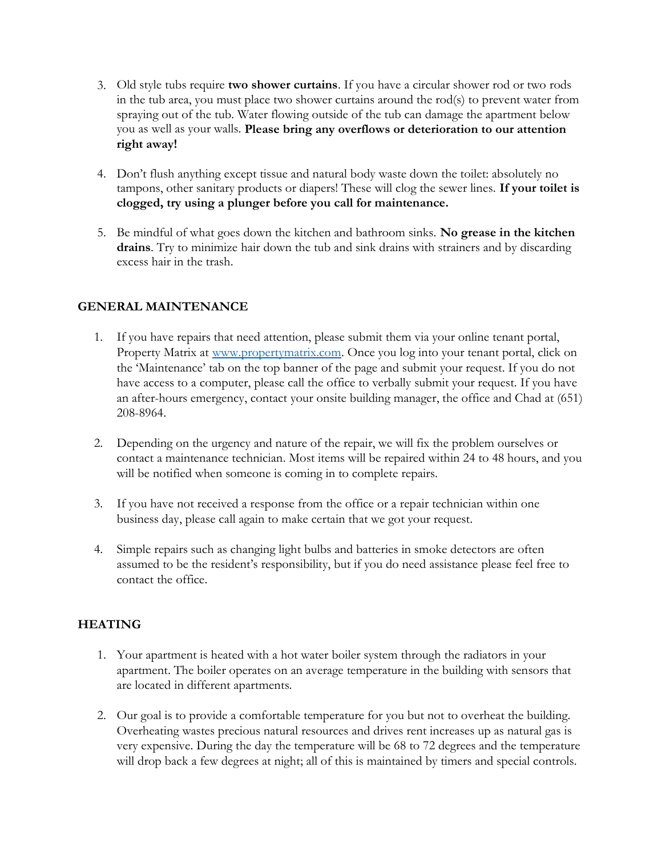- 3. Old style tubs require two shower curtains. If you have a circular shower rod or two rods in the tub area, you must place two shower curtains around the rod(s) to prevent water from spraying out of the tub. Water flowing outside of the tub can damage the apartment below you as well as your walls. Please bring any overflows or deterioration to our attention right away!
- 4. Don't flush anything except tissue and natural body waste down the toilet: absolutely no tampons, other sanitary products or diapers! These will clog the sewer lines. If your toilet is clogged, try using a plunger before you call for maintenance.
- 5. Be mindful of what goes down the kitchen and bathroom sinks. No grease in the kitchen drains. Try to minimize hair down the tub and sink drains with strainers and by discarding excess hair in the trash.

## GENERAL MAINTENANCE

- 1. If you have repairs that need attention, please submit them via your online tenant portal, Property Matrix at www.propertymatrix.com. Once you log into your tenant portal, click on the 'Maintenance' tab on the top banner of the page and submit your request. If you do not have access to a computer, please call the office to verbally submit your request. If you have an after-hours emergency, contact your onsite building manager, the office and Chad at (651) 208-8964.
- 2. Depending on the urgency and nature of the repair, we will fix the problem ourselves or contact a maintenance technician. Most items will be repaired within 24 to 48 hours, and you will be notified when someone is coming in to complete repairs.
- 3. If you have not received a response from the office or a repair technician within one business day, please call again to make certain that we got your request.
- 4. Simple repairs such as changing light bulbs and batteries in smoke detectors are often assumed to be the resident's responsibility, but if you do need assistance please feel free to contact the office.

### **HEATING**

- 1. Your apartment is heated with a hot water boiler system through the radiators in your apartment. The boiler operates on an average temperature in the building with sensors that are located in different apartments.
- 2. Our goal is to provide a comfortable temperature for you but not to overheat the building. Overheating wastes precious natural resources and drives rent increases up as natural gas is very expensive. During the day the temperature will be 68 to 72 degrees and the temperature will drop back a few degrees at night; all of this is maintained by timers and special controls.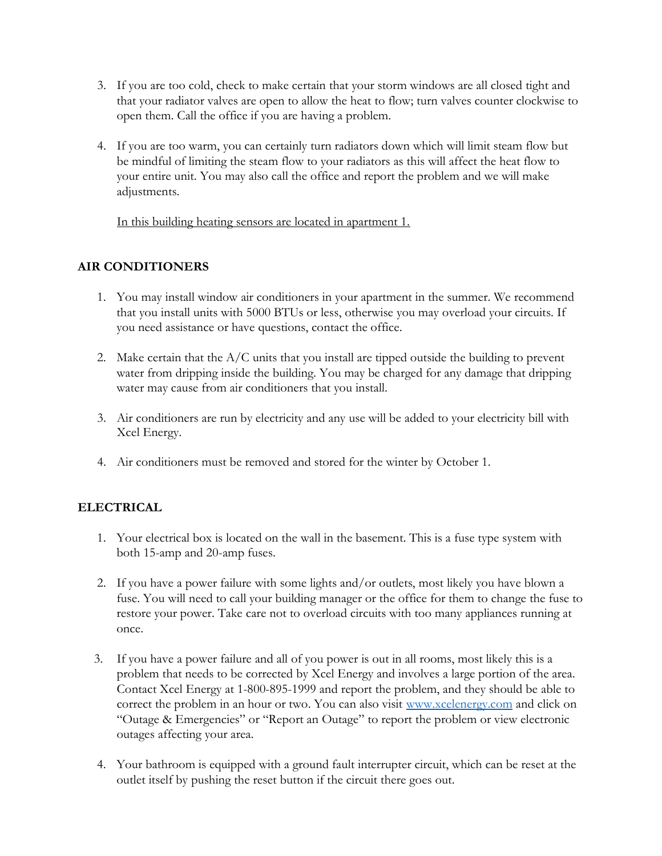- 3. If you are too cold, check to make certain that your storm windows are all closed tight and that your radiator valves are open to allow the heat to flow; turn valves counter clockwise to open them. Call the office if you are having a problem.
- 4. If you are too warm, you can certainly turn radiators down which will limit steam flow but be mindful of limiting the steam flow to your radiators as this will affect the heat flow to your entire unit. You may also call the office and report the problem and we will make adjustments.

In this building heating sensors are located in apartment 1.

## AIR CONDITIONERS

- 1. You may install window air conditioners in your apartment in the summer. We recommend that you install units with 5000 BTUs or less, otherwise you may overload your circuits. If you need assistance or have questions, contact the office.
- 2. Make certain that the  $A/C$  units that you install are tipped outside the building to prevent water from dripping inside the building. You may be charged for any damage that dripping water may cause from air conditioners that you install.
- 3. Air conditioners are run by electricity and any use will be added to your electricity bill with Xcel Energy.
- 4. Air conditioners must be removed and stored for the winter by October 1.

# ELECTRICAL

- 1. Your electrical box is located on the wall in the basement. This is a fuse type system with both 15-amp and 20-amp fuses.
- 2. If you have a power failure with some lights and/or outlets, most likely you have blown a fuse. You will need to call your building manager or the office for them to change the fuse to restore your power. Take care not to overload circuits with too many appliances running at once.
- 3. If you have a power failure and all of you power is out in all rooms, most likely this is a problem that needs to be corrected by Xcel Energy and involves a large portion of the area. Contact Xcel Energy at 1-800-895-1999 and report the problem, and they should be able to correct the problem in an hour or two. You can also visit www.xcelenergy.com and click on "Outage & Emergencies" or "Report an Outage" to report the problem or view electronic outages affecting your area.
- 4. Your bathroom is equipped with a ground fault interrupter circuit, which can be reset at the outlet itself by pushing the reset button if the circuit there goes out.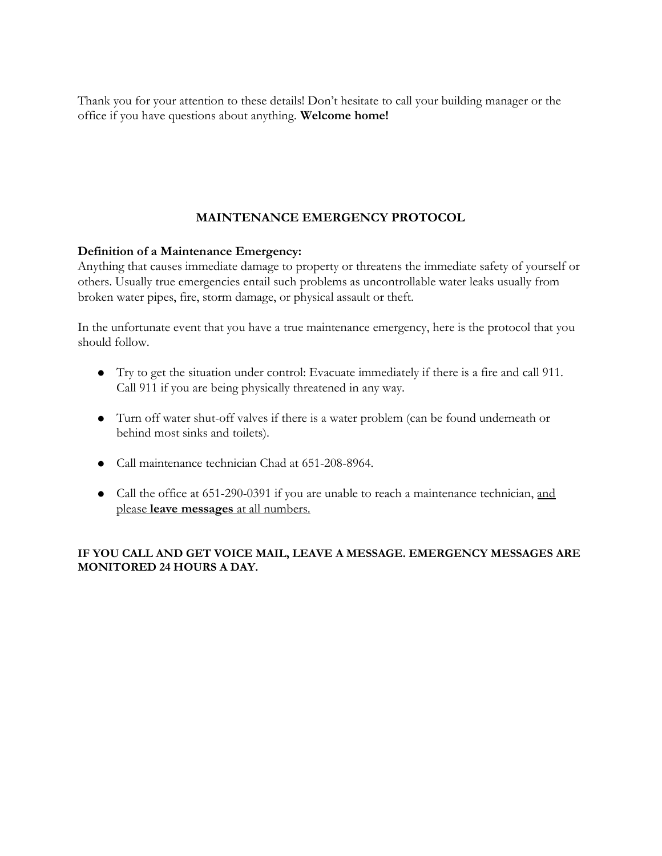Thank you for your attention to these details! Don't hesitate to call your building manager or the office if you have questions about anything. Welcome home!

# MAINTENANCE EMERGENCY PROTOCOL

## Definition of a Maintenance Emergency:

Anything that causes immediate damage to property or threatens the immediate safety of yourself or others. Usually true emergencies entail such problems as uncontrollable water leaks usually from broken water pipes, fire, storm damage, or physical assault or theft.

In the unfortunate event that you have a true maintenance emergency, here is the protocol that you should follow.

- Try to get the situation under control: Evacuate immediately if there is a fire and call 911. Call 911 if you are being physically threatened in any way.
- Turn off water shut-off valves if there is a water problem (can be found underneath or behind most sinks and toilets).
- Call maintenance technician Chad at 651-208-8964.
- Call the office at 651-290-0391 if you are unable to reach a maintenance technician, and please leave messages at all numbers.

### IF YOU CALL AND GET VOICE MAIL, LEAVE A MESSAGE. EMERGENCY MESSAGES ARE MONITORED 24 HOURS A DAY.